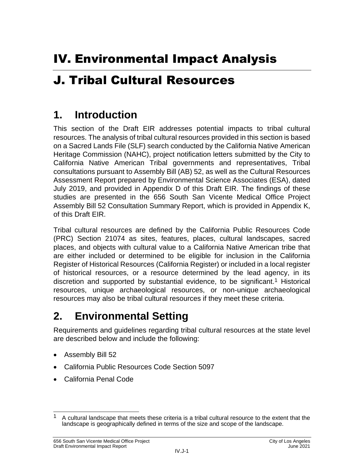# J. Tribal Cultural Resources

# **1. Introduction**

This section of the Draft EIR addresses potential impacts to tribal cultural resources. The analysis of tribal cultural resources provided in this section is based on a Sacred Lands File (SLF) search conducted by the California Native American Heritage Commission (NAHC), project notification letters submitted by the City to California Native American Tribal governments and representatives, Tribal consultations pursuant to Assembly Bill (AB) 52, as well as the Cultural Resources Assessment Report prepared by Environmental Science Associates (ESA), dated July 2019, and provided in Appendix D of this Draft EIR. The findings of these studies are presented in the 656 South San Vicente Medical Office Project Assembly Bill 52 Consultation Summary Report, which is provided in Appendix K, of this Draft EIR.

Tribal cultural resources are defined by the California Public Resources Code (PRC) Section 21074 as sites, features, places, cultural landscapes, sacred places, and objects with cultural value to a California Native American tribe that are either included or determined to be eligible for inclusion in the California Register of Historical Resources (California Register) or included in a local register of historical resources, or a resource determined by the lead agency, in its discretion and supported by substantial evidence, to be significant.<sup>1</sup> Historical resources, unique archaeological resources, or non-unique archaeological resources may also be tribal cultural resources if they meet these criteria.

# **2. Environmental Setting**

Requirements and guidelines regarding tribal cultural resources at the state level are described below and include the following:

- Assembly Bill 52
- California Public Resources Code Section 5097
- California Penal Code

 $\overline{\phantom{a}}$ 1 A cultural landscape that meets these criteria is a tribal cultural resource to the extent that the landscape is geographically defined in terms of the size and scope of the landscape.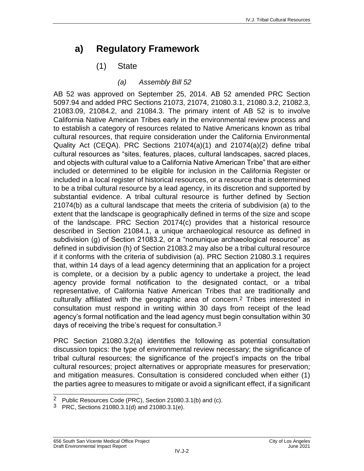### **a) Regulatory Framework**

### (1) State

#### *(a) Assembly Bill 52*

AB 52 was approved on September 25, 2014. AB 52 amended PRC Section 5097.94 and added PRC Sections 21073, 21074, 21080.3.1, 21080.3.2, 21082.3, 21083.09, 21084.2, and 21084.3. The primary intent of AB 52 is to involve California Native American Tribes early in the environmental review process and to establish a category of resources related to Native Americans known as tribal cultural resources, that require consideration under the California Environmental Quality Act (CEQA). PRC Sections 21074(a)(1) and 21074(a)(2) define tribal cultural resources as "sites, features, places, cultural landscapes, sacred places, and objects with cultural value to a California Native American Tribe" that are either included or determined to be eligible for inclusion in the California Register or included in a local register of historical resources, or a resource that is determined to be a tribal cultural resource by a lead agency, in its discretion and supported by substantial evidence. A tribal cultural resource is further defined by Section 21074(b) as a cultural landscape that meets the criteria of subdivision (a) to the extent that the landscape is geographically defined in terms of the size and scope of the landscape. PRC Section 20174(c) provides that a historical resource described in Section 21084.1, a unique archaeological resource as defined in subdivision (g) of Section 21083.2, or a "nonunique archaeological resource" as defined in subdivision (h) of Section 21083.2 may also be a tribal cultural resource if it conforms with the criteria of subdivision (a). PRC Section 21080.3.1 requires that, within 14 days of a lead agency determining that an application for a project is complete, or a decision by a public agency to undertake a project, the lead agency provide formal notification to the designated contact, or a tribal representative, of California Native American Tribes that are traditionally and culturally affiliated with the geographic area of concern. 2 Tribes interested in consultation must respond in writing within 30 days from receipt of the lead agency's formal notification and the lead agency must begin consultation within 30 days of receiving the tribe's request for consultation.3

PRC Section 21080.3.2(a) identifies the following as potential consultation discussion topics: the type of environmental review necessary; the significance of tribal cultural resources; the significance of the project's impacts on the tribal cultural resources; project alternatives or appropriate measures for preservation; and mitigation measures. Consultation is considered concluded when either (1) the parties agree to measures to mitigate or avoid a significant effect, if a significant

 $\overline{\phantom{a}}$ <sup>2</sup> Public Resources Code (PRC), Section 21080.3.1(b) and (c).

<sup>3</sup> PRC, Sections 21080.3.1(d) and 21080.3.1(e).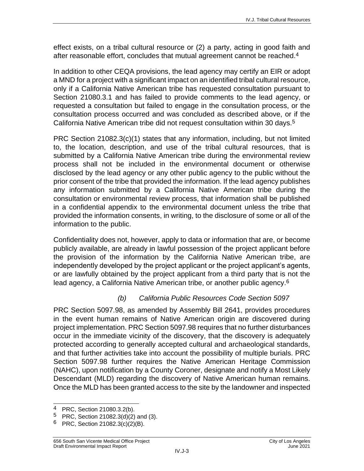effect exists, on a tribal cultural resource or (2) a party, acting in good faith and after reasonable effort, concludes that mutual agreement cannot be reached.4

In addition to other CEQA provisions, the lead agency may certify an EIR or adopt a MND for a project with a significant impact on an identified tribal cultural resource, only if a California Native American tribe has requested consultation pursuant to Section 21080.3.1 and has failed to provide comments to the lead agency, or requested a consultation but failed to engage in the consultation process, or the consultation process occurred and was concluded as described above, or if the California Native American tribe did not request consultation within 30 days.5

PRC Section 21082.3(c)(1) states that any information, including, but not limited to, the location, description, and use of the tribal cultural resources, that is submitted by a California Native American tribe during the environmental review process shall not be included in the environmental document or otherwise disclosed by the lead agency or any other public agency to the public without the prior consent of the tribe that provided the information. If the lead agency publishes any information submitted by a California Native American tribe during the consultation or environmental review process, that information shall be published in a confidential appendix to the environmental document unless the tribe that provided the information consents, in writing, to the disclosure of some or all of the information to the public.

Confidentiality does not, however, apply to data or information that are, or become publicly available, are already in lawful possession of the project applicant before the provision of the information by the California Native American tribe, are independently developed by the project applicant or the project applicant's agents, or are lawfully obtained by the project applicant from a third party that is not the lead agency, a California Native American tribe, or another public agency.6

#### *(b) California Public Resources Code Section 5097*

PRC Section 5097.98, as amended by Assembly Bill 2641, provides procedures in the event human remains of Native American origin are discovered during project implementation. PRC Section 5097.98 requires that no further disturbances occur in the immediate vicinity of the discovery, that the discovery is adequately protected according to generally accepted cultural and archaeological standards, and that further activities take into account the possibility of multiple burials. PRC Section 5097.98 further requires the Native American Heritage Commission (NAHC), upon notification by a County Coroner, designate and notify a Most Likely Descendant (MLD) regarding the discovery of Native American human remains. Once the MLD has been granted access to the site by the landowner and inspected

 $\overline{\phantom{a}}$ <sup>4</sup> PRC, Section 21080.3.2(b).

<sup>5</sup> PRC, Section 21082.3(d)(2) and (3).

<sup>6</sup> PRC, Section 21082.3(c)(2)(B).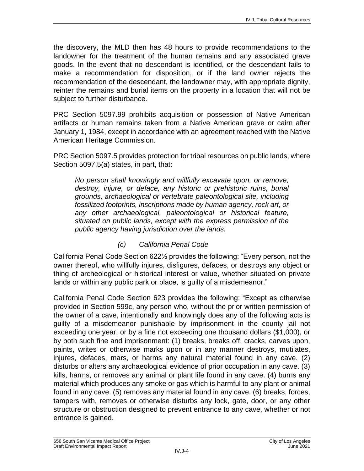the discovery, the MLD then has 48 hours to provide recommendations to the landowner for the treatment of the human remains and any associated grave goods. In the event that no descendant is identified, or the descendant fails to make a recommendation for disposition, or if the land owner rejects the recommendation of the descendant, the landowner may, with appropriate dignity, reinter the remains and burial items on the property in a location that will not be subject to further disturbance.

PRC Section 5097.99 prohibits acquisition or possession of Native American artifacts or human remains taken from a Native American grave or cairn after January 1, 1984, except in accordance with an agreement reached with the Native American Heritage Commission.

PRC Section 5097.5 provides protection for tribal resources on public lands, where Section 5097.5(a) states, in part, that:

*No person shall knowingly and willfully excavate upon, or remove, destroy, injure, or deface, any historic or prehistoric ruins, burial grounds, archaeological or vertebrate paleontological site, including fossilized footprints, inscriptions made by human agency, rock art, or any other archaeological, paleontological or historical feature, situated on public lands, except with the express permission of the public agency having jurisdiction over the lands.*

#### *(c) California Penal Code*

California Penal Code Section 622½ provides the following: "Every person, not the owner thereof, who willfully injures, disfigures, defaces, or destroys any object or thing of archeological or historical interest or value, whether situated on private lands or within any public park or place, is guilty of a misdemeanor."

California Penal Code Section 623 provides the following: "Except as otherwise provided in Section 599c, any person who, without the prior written permission of the owner of a cave, intentionally and knowingly does any of the following acts is guilty of a misdemeanor punishable by imprisonment in the county jail not exceeding one year, or by a fine not exceeding one thousand dollars (\$1,000), or by both such fine and imprisonment: (1) breaks, breaks off, cracks, carves upon, paints, writes or otherwise marks upon or in any manner destroys, mutilates, injures, defaces, mars, or harms any natural material found in any cave. (2) disturbs or alters any archaeological evidence of prior occupation in any cave. (3) kills, harms, or removes any animal or plant life found in any cave. (4) burns any material which produces any smoke or gas which is harmful to any plant or animal found in any cave. (5) removes any material found in any cave. (6) breaks, forces, tampers with, removes or otherwise disturbs any lock, gate, door, or any other structure or obstruction designed to prevent entrance to any cave, whether or not entrance is gained.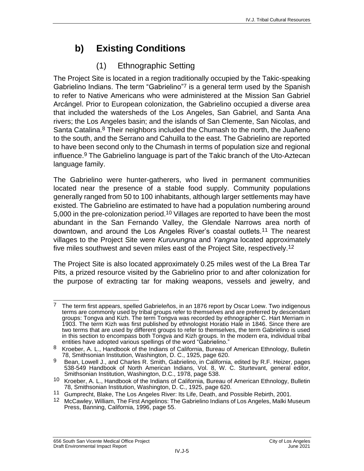# **b) Existing Conditions**

### (1) Ethnographic Setting

The Project Site is located in a region traditionally occupied by the Takic-speaking Gabrielino Indians. The term "Gabrielino"7 is a general term used by the Spanish to refer to Native Americans who were administered at the Mission San Gabriel Arcángel. Prior to European colonization, the Gabrielino occupied a diverse area that included the watersheds of the Los Angeles, San Gabriel, and Santa Ana rivers; the Los Angeles basin; and the islands of San Clemente, San Nicolas, and Santa Catalina.<sup>8</sup> Their neighbors included the Chumash to the north, the Juañeno to the south, and the Serrano and Cahuilla to the east. The Gabrielino are reported to have been second only to the Chumash in terms of population size and regional influence.9 The Gabrielino language is part of the Takic branch of the Uto-Aztecan language family.

The Gabrielino were hunter-gatherers, who lived in permanent communities located near the presence of a stable food supply. Community populations generally ranged from 50 to 100 inhabitants, although larger settlements may have existed. The Gabrielino are estimated to have had a population numbering around 5,000 in the pre-colonization period.10 Villages are reported to have been the most abundant in the San Fernando Valley, the Glendale Narrows area north of downtown, and around the Los Angeles River's coastal outlets.11 The nearest villages to the Project Site were *Kuruvungna* and *Yangna* located approximately five miles southwest and seven miles east of the Project Site, respectively.12

The Project Site is also located approximately 0.25 miles west of the La Brea Tar Pits, a prized resource visited by the Gabrielino prior to and after colonization for the purpose of extracting tar for making weapons, vessels and jewelry, and

 $\overline{a}$ 7 The term first appears, spelled Gabrieleños, in an 1876 report by Oscar Loew. Two indigenous terms are commonly used by tribal groups refer to themselves and are preferred by descendant groups: Tongva and Kizh. The term Tongva was recorded by ethnographer C. Hart Merriam in 1903. The term Kizh was first published by ethnologist Horatio Hale in 1846. Since there are two terms that are used by different groups to refer to themselves, the term Gabrielino is used in this section to encompass both Tongva and Kizh groups. In the modern era, individual tribal entities have adopted various spellings of the word "Gabrielino."

<sup>8</sup> Kroeber, A. L., Handbook of the Indians of California, Bureau of American Ethnology, Bulletin 78, Smithsonian Institution, Washington, D. C., 1925, page 620.

 $9$  Bean, Lowell J., and Charles R. Smith, Gabrielino, in California, edited by R.F. Heizer, pages 538-549 Handbook of North American Indians, Vol. 8, W. C. Sturtevant, general editor, Smithsonian Institution, Washington, D.C., 1978, page 538.

<sup>10</sup> Kroeber, A. L., Handbook of the Indians of California, Bureau of American Ethnology, Bulletin 78, Smithsonian Institution, Washington, D. C., 1925, page 620.

<sup>11</sup> Gumprecht, Blake, The Los Angeles River: Its Life, Death, and Possible Rebirth, 2001.

<sup>&</sup>lt;sup>12</sup> McCawley, William, The First Angelinos: The Gabrielino Indians of Los Angeles, Malki Museum Press, Banning, California, 1996, page 55.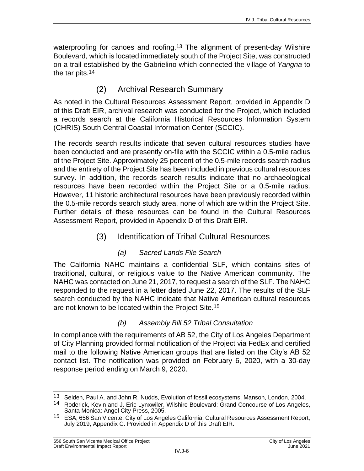waterproofing for canoes and roofing.<sup>13</sup> The alignment of present-day Wilshire Boulevard, which is located immediately south of the Project Site, was constructed on a trail established by the Gabrielino which connected the village of *Yangna* to the tar pits.<sup>14</sup>

### (2) Archival Research Summary

As noted in the Cultural Resources Assessment Report, provided in Appendix D of this Draft EIR, archival research was conducted for the Project, which included a records search at the California Historical Resources Information System (CHRIS) South Central Coastal Information Center (SCCIC).

The records search results indicate that seven cultural resources studies have been conducted and are presently on-file with the SCCIC within a 0.5-mile radius of the Project Site. Approximately 25 percent of the 0.5-mile records search radius and the entirety of the Project Site has been included in previous cultural resources survey. In addition, the records search results indicate that no archaeological resources have been recorded within the Project Site or a 0.5-mile radius. However, 11 historic architectural resources have been previously recorded within the 0.5-mile records search study area, none of which are within the Project Site. Further details of these resources can be found in the Cultural Resources Assessment Report, provided in Appendix D of this Draft EIR.

#### (3) Identification of Tribal Cultural Resources

#### *(a) Sacred Lands File Search*

The California NAHC maintains a confidential SLF, which contains sites of traditional, cultural, or religious value to the Native American community. The NAHC was contacted on June 21, 2017, to request a search of the SLF. The NAHC responded to the request in a letter dated June 22, 2017. The results of the SLF search conducted by the NAHC indicate that Native American cultural resources are not known to be located within the Project Site. 15

#### *(b) Assembly Bill 52 Tribal Consultation*

In compliance with the requirements of AB 52, the City of Los Angeles Department of City Planning provided formal notification of the Project via FedEx and certified mail to the following Native American groups that are listed on the City's AB 52 contact list. The notification was provided on February 6, 2020, with a 30-day response period ending on March 9, 2020.

 $\overline{\phantom{a}}$ <sup>13</sup> Selden, Paul A. and John R. Nudds, Evolution of fossil ecosystems, Manson, London, 2004.

<sup>&</sup>lt;sup>14</sup> Roderick, Kevin and J. Eric Lynxwiler, Wilshire Boulevard: Grand Concourse of Los Angeles, Santa Monica: Angel City Press, 2005.

<sup>15</sup> ESA, 656 San Vicente, City of Los Angeles California, Cultural Resources Assessment Report, July 2019, Appendix C. Provided in Appendix D of this Draft EIR.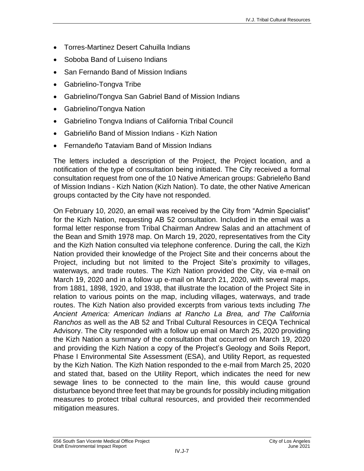- Torres-Martinez Desert Cahuilla Indians
- Soboba Band of Luiseno Indians
- San Fernando Band of Mission Indians
- Gabrielino-Tongva Tribe
- Gabrielino/Tongva San Gabriel Band of Mission Indians
- Gabrielino/Tongva Nation
- Gabrielino Tongva Indians of California Tribal Council
- Gabrieliño Band of Mission Indians Kizh Nation
- Fernandeño Tataviam Band of Mission Indians

The letters included a description of the Project, the Project location, and a notification of the type of consultation being initiated. The City received a formal consultation request from one of the 10 Native American groups: Gabrieleño Band of Mission Indians - Kizh Nation (Kizh Nation). To date, the other Native American groups contacted by the City have not responded.

On February 10, 2020, an email was received by the City from "Admin Specialist" for the Kizh Nation, requesting AB 52 consultation. Included in the email was a formal letter response from Tribal Chairman Andrew Salas and an attachment of the Bean and Smith 1978 map. On March 19, 2020, representatives from the City and the Kizh Nation consulted via telephone conference. During the call, the Kizh Nation provided their knowledge of the Project Site and their concerns about the Project, including but not limited to the Project Site's proximity to villages, waterways, and trade routes. The Kizh Nation provided the City, via e-mail on March 19, 2020 and in a follow up e-mail on March 21, 2020, with several maps, from 1881, 1898, 1920, and 1938, that illustrate the location of the Project Site in relation to various points on the map, including villages, waterways, and trade routes. The Kizh Nation also provided excerpts from various texts including *The Ancient America: American Indians at Rancho La Brea, and The California Ranchos* as well as the AB 52 and Tribal Cultural Resources in CEQA Technical Advisory. The City responded with a follow up email on March 25, 2020 providing the Kizh Nation a summary of the consultation that occurred on March 19, 2020 and providing the Kizh Nation a copy of the Project's Geology and Soils Report, Phase I Environmental Site Assessment (ESA), and Utility Report, as requested by the Kizh Nation. The Kizh Nation responded to the e-mail from March 25, 2020 and stated that, based on the Utility Report, which indicates the need for new sewage lines to be connected to the main line, this would cause ground disturbance beyond three feet that may be grounds for possibly including mitigation measures to protect tribal cultural resources, and provided their recommended mitigation measures.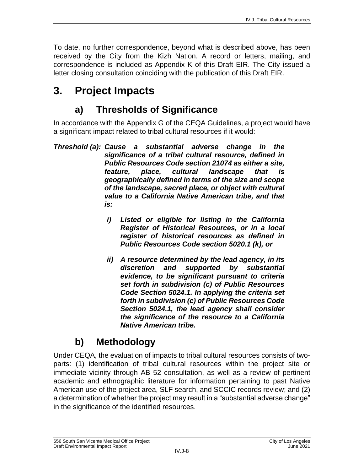To date, no further correspondence, beyond what is described above, has been received by the City from the Kizh Nation. A record or letters, mailing, and correspondence is included as Appendix K of this Draft EIR. The City issued a letter closing consultation coinciding with the publication of this Draft EIR.

# **3. Project Impacts**

# **a) Thresholds of Significance**

In accordance with the Appendix G of the CEQA Guidelines, a project would have a significant impact related to tribal cultural resources if it would:

- *Threshold (a): Cause a substantial adverse change in the significance of a tribal cultural resource, defined in Public Resources Code section 21074 as either a site, feature, place, cultural landscape that is geographically defined in terms of the size and scope of the landscape, sacred place, or object with cultural value to a California Native American tribe, and that is:*
	- *i) Listed or eligible for listing in the California Register of Historical Resources, or in a local register of historical resources as defined in Public Resources Code section 5020.1 (k), or*
	- *ii) A resource determined by the lead agency, in its discretion and supported by substantial evidence, to be significant pursuant to criteria set forth in subdivision (c) of Public Resources Code Section 5024.1. In applying the criteria set forth in subdivision (c) of Public Resources Code Section 5024.1, the lead agency shall consider the significance of the resource to a California Native American tribe.*

# **b) Methodology**

Under CEQA, the evaluation of impacts to tribal cultural resources consists of twoparts: (1) identification of tribal cultural resources within the project site or immediate vicinity through AB 52 consultation, as well as a review of pertinent academic and ethnographic literature for information pertaining to past Native American use of the project area, SLF search, and SCCIC records review; and (2) a determination of whether the project may result in a "substantial adverse change" in the significance of the identified resources.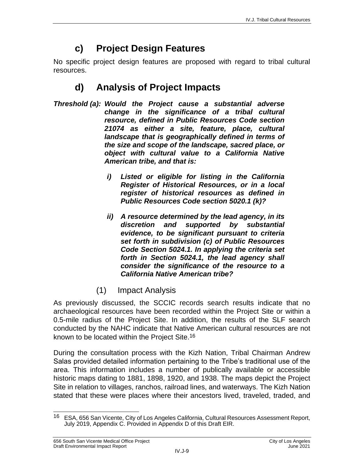## **c) Project Design Features**

No specific project design features are proposed with regard to tribal cultural resources.

## **d) Analysis of Project Impacts**

- *Threshold (a): Would the Project cause a substantial adverse change in the significance of a tribal cultural resource, defined in Public Resources Code section 21074 as either a site, feature, place, cultural landscape that is geographically defined in terms of the size and scope of the landscape, sacred place, or object with cultural value to a California Native American tribe, and that is:*
	- *i) Listed or eligible for listing in the California Register of Historical Resources, or in a local register of historical resources as defined in Public Resources Code section 5020.1 (k)?*
	- *ii) A resource determined by the lead agency, in its discretion and supported by substantial evidence, to be significant pursuant to criteria set forth in subdivision (c) of Public Resources Code Section 5024.1. In applying the criteria set forth in Section 5024.1, the lead agency shall consider the significance of the resource to a California Native American tribe?*
	- (1) Impact Analysis

As previously discussed, the SCCIC records search results indicate that no archaeological resources have been recorded within the Project Site or within a 0.5-mile radius of the Project Site. In addition, the results of the SLF search conducted by the NAHC indicate that Native American cultural resources are not known to be located within the Project Site. 16

During the consultation process with the Kizh Nation, Tribal Chairman Andrew Salas provided detailed information pertaining to the Tribe's traditional use of the area. This information includes a number of publically available or accessible historic maps dating to 1881, 1898, 1920, and 1938. The maps depict the Project Site in relation to villages, ranchos, railroad lines, and waterways. The Kizh Nation stated that these were places where their ancestors lived, traveled, traded, and

 $16$ 16 ESA, 656 San Vicente, City of Los Angeles California, Cultural Resources Assessment Report, July 2019, Appendix C. Provided in Appendix D of this Draft EIR.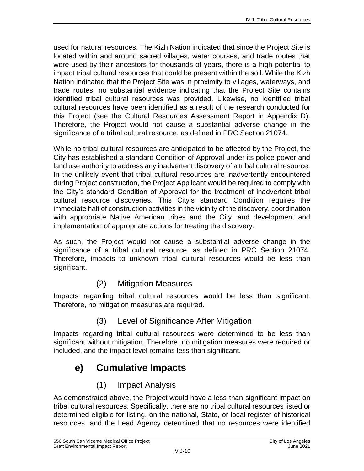used for natural resources. The Kizh Nation indicated that since the Project Site is located within and around sacred villages, water courses, and trade routes that were used by their ancestors for thousands of years, there is a high potential to impact tribal cultural resources that could be present within the soil. While the Kizh Nation indicated that the Project Site was in proximity to villages, waterways, and trade routes, no substantial evidence indicating that the Project Site contains identified tribal cultural resources was provided. Likewise, no identified tribal cultural resources have been identified as a result of the research conducted for this Project (see the Cultural Resources Assessment Report in Appendix D). Therefore, the Project would not cause a substantial adverse change in the significance of a tribal cultural resource, as defined in PRC Section 21074.

While no tribal cultural resources are anticipated to be affected by the Project, the City has established a standard Condition of Approval under its police power and land use authority to address any inadvertent discovery of a tribal cultural resource. In the unlikely event that tribal cultural resources are inadvertently encountered during Project construction, the Project Applicant would be required to comply with the City's standard Condition of Approval for the treatment of inadvertent tribal cultural resource discoveries. This City's standard Condition requires the immediate halt of construction activities in the vicinity of the discovery, coordination with appropriate Native American tribes and the City, and development and implementation of appropriate actions for treating the discovery.

As such, the Project would not cause a substantial adverse change in the significance of a tribal cultural resource, as defined in PRC Section 21074. Therefore, impacts to unknown tribal cultural resources would be less than significant.

### (2) Mitigation Measures

Impacts regarding tribal cultural resources would be less than significant. Therefore, no mitigation measures are required.

### (3) Level of Significance After Mitigation

Impacts regarding tribal cultural resources were determined to be less than significant without mitigation. Therefore, no mitigation measures were required or included, and the impact level remains less than significant.

## **e) Cumulative Impacts**

### (1) Impact Analysis

As demonstrated above, the Project would have a less-than-significant impact on tribal cultural resources. Specifically, there are no tribal cultural resources listed or determined eligible for listing, on the national, State, or local register of historical resources, and the Lead Agency determined that no resources were identified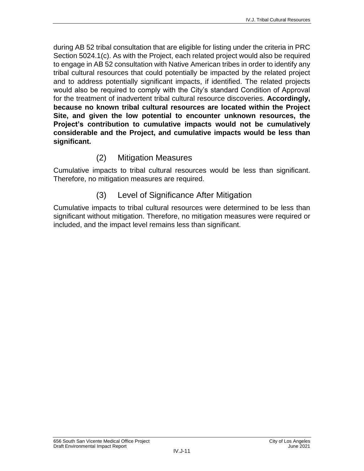during AB 52 tribal consultation that are eligible for listing under the criteria in PRC Section 5024.1(c). As with the Project, each related project would also be required to engage in AB 52 consultation with Native American tribes in order to identify any tribal cultural resources that could potentially be impacted by the related project and to address potentially significant impacts, if identified. The related projects would also be required to comply with the City's standard Condition of Approval for the treatment of inadvertent tribal cultural resource discoveries. **Accordingly, because no known tribal cultural resources are located within the Project Site, and given the low potential to encounter unknown resources, the Project's contribution to cumulative impacts would not be cumulatively considerable and the Project, and cumulative impacts would be less than significant.**

### (2) Mitigation Measures

Cumulative impacts to tribal cultural resources would be less than significant. Therefore, no mitigation measures are required.

### (3) Level of Significance After Mitigation

Cumulative impacts to tribal cultural resources were determined to be less than significant without mitigation. Therefore, no mitigation measures were required or included, and the impact level remains less than significant.